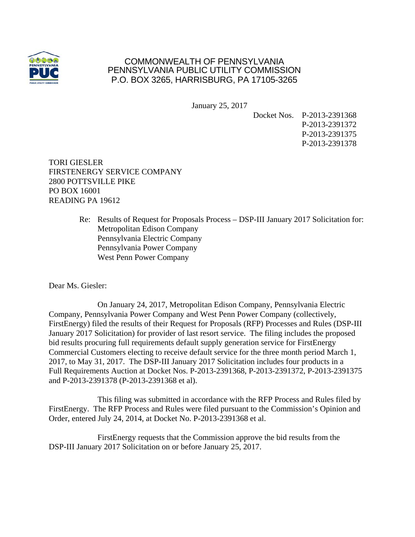

## COMMONWEALTH OF PENNSYLVANIA PENNSYLVANIA PUBLIC UTILITY COMMISSION P.O. BOX 3265, HARRISBURG, PA 17105-3265

January 25, 2017

Docket Nos. P-2013-2391368 P-2013-2391372 P-2013-2391375 P-2013-2391378

TORI GIESLER FIRSTENERGY SERVICE COMPANY 2800 POTTSVILLE PIKE PO BOX 16001 READING PA 19612

> Re: Results of Request for Proposals Process – DSP-III January 2017 Solicitation for: Metropolitan Edison Company Pennsylvania Electric Company Pennsylvania Power Company West Penn Power Company

Dear Ms. Giesler:

 On January 24, 2017, Metropolitan Edison Company, Pennsylvania Electric Company, Pennsylvania Power Company and West Penn Power Company (collectively, FirstEnergy) filed the results of their Request for Proposals (RFP) Processes and Rules (DSP-III January 2017 Solicitation) for provider of last resort service. The filing includes the proposed bid results procuring full requirements default supply generation service for FirstEnergy Commercial Customers electing to receive default service for the three month period March 1, 2017, to May 31, 2017. The DSP-III January 2017 Solicitation includes four products in a Full Requirements Auction at Docket Nos. P-2013-2391368, P-2013-2391372, P-2013-2391375 and P-2013-2391378 (P-2013-2391368 et al).

 This filing was submitted in accordance with the RFP Process and Rules filed by FirstEnergy. The RFP Process and Rules were filed pursuant to the Commission's Opinion and Order, entered July 24, 2014, at Docket No. P-2013-2391368 et al.

 FirstEnergy requests that the Commission approve the bid results from the DSP-III January 2017 Solicitation on or before January 25, 2017.